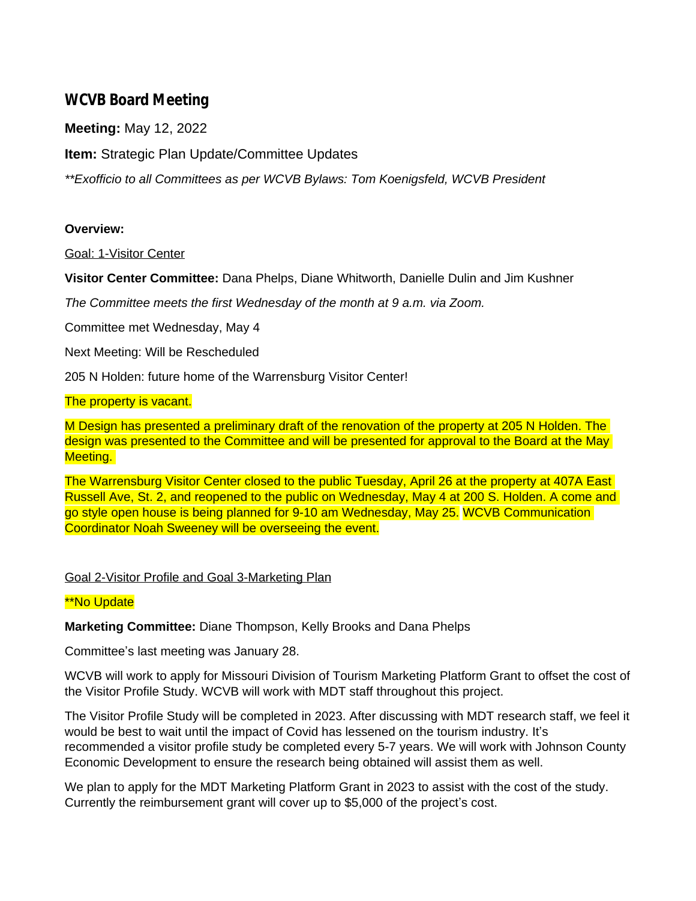# **WCVB Board Meeting**

**Meeting:** May 12, 2022

**Item:** Strategic Plan Update/Committee Updates

*\*\*Exofficio to all Committees as per WCVB Bylaws: Tom Koenigsfeld, WCVB President*

## **Overview:**

Goal: 1-Visitor Center

**Visitor Center Committee:** Dana Phelps, Diane Whitworth, Danielle Dulin and Jim Kushner

*The Committee meets the first Wednesday of the month at 9 a.m. via Zoom.*

Committee met Wednesday, May 4

Next Meeting: Will be Rescheduled

205 N Holden: future home of the Warrensburg Visitor Center!

## The property is vacant.

M Design has presented a preliminary draft of the renovation of the property at 205 N Holden. The design was presented to the Committee and will be presented for approval to the Board at the May Meeting.

The Warrensburg Visitor Center closed to the public Tuesday, April 26 at the property at 407A East Russell Ave, St. 2, and reopened to the public on Wednesday, May 4 at 200 S. Holden. A come and go style open house is being planned for 9-10 am Wednesday, May 25. WCVB Communication Coordinator Noah Sweeney will be overseeing the event.

## Goal 2-Visitor Profile and Goal 3-Marketing Plan

## \*\*No Update

**Marketing Committee:** Diane Thompson, Kelly Brooks and Dana Phelps

Committee's last meeting was January 28.

WCVB will work to apply for Missouri Division of Tourism Marketing Platform Grant to offset the cost of the Visitor Profile Study. WCVB will work with MDT staff throughout this project.

The Visitor Profile Study will be completed in 2023. After discussing with MDT research staff, we feel it would be best to wait until the impact of Covid has lessened on the tourism industry. It's recommended a visitor profile study be completed every 5-7 years. We will work with Johnson County Economic Development to ensure the research being obtained will assist them as well.

We plan to apply for the MDT Marketing Platform Grant in 2023 to assist with the cost of the study. Currently the reimbursement grant will cover up to \$5,000 of the project's cost.